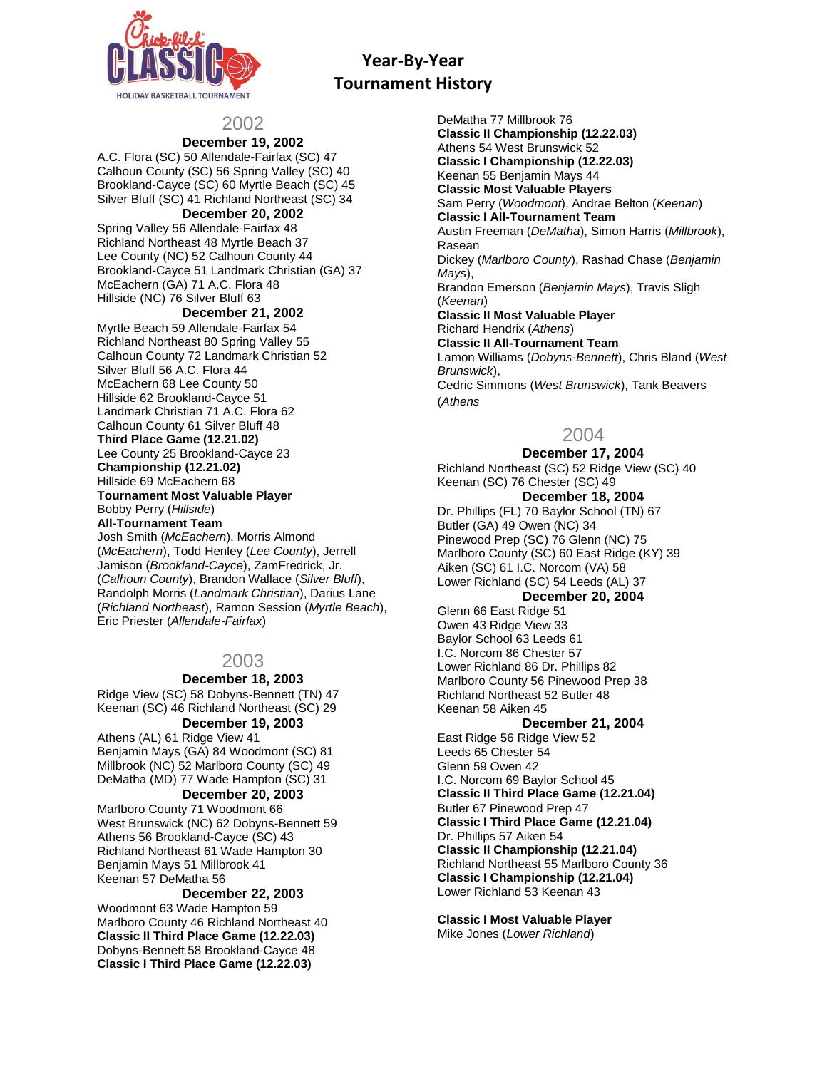

# 2002

# **December 19, 2002**

A.C. Flora (SC) 50 Allendale-Fairfax (SC) 47 Calhoun County (SC) 56 Spring Valley (SC) 40 Brookland-Cayce (SC) 60 Myrtle Beach (SC) 45 Silver Bluff (SC) 41 Richland Northeast (SC) 34

#### **December 20, 2002**

Spring Valley 56 Allendale-Fairfax 48 Richland Northeast 48 Myrtle Beach 37 Lee County (NC) 52 Calhoun County 44 Brookland-Cayce 51 Landmark Christian (GA) 37 McEachern (GA) 71 A.C. Flora 48 Hillside (NC) 76 Silver Bluff 63

## **December 21, 2002**

Myrtle Beach 59 Allendale-Fairfax 54 Richland Northeast 80 Spring Valley 55 Calhoun County 72 Landmark Christian 52 Silver Bluff 56 A.C. Flora 44 McEachern 68 Lee County 50 Hillside 62 Brookland-Cayce 51 Landmark Christian 71 A.C. Flora 62 Calhoun County 61 Silver Bluff 48 **Third Place Game (12.21.02)** Lee County 25 Brookland-Cayce 23 **Championship (12.21.02)** Hillside 69 McEachern 68 **Tournament Most Valuable Player** Bobby Perry (*Hillside*) **All-Tournament Team**

Josh Smith (*McEachern*), Morris Almond (*McEachern*), Todd Henley (*Lee County*), Jerrell Jamison (*Brookland-Cayce*), ZamFredrick, Jr. (*Calhoun County*), Brandon Wallace (*Silver Bluff*), Randolph Morris (*Landmark Christian*), Darius Lane (*Richland Northeast*), Ramon Session (*Myrtle Beach*), Eric Priester (*Allendale-Fairfax*)

# 2003

## **December 18, 2003**

Ridge View (SC) 58 Dobyns-Bennett (TN) 47 Keenan (SC) 46 Richland Northeast (SC) 29 **December 19, 2003**

Athens (AL) 61 Ridge View 41 Benjamin Mays (GA) 84 Woodmont (SC) 81 Millbrook (NC) 52 Marlboro County (SC) 49 DeMatha (MD) 77 Wade Hampton (SC) 31

## **December 20, 2003**

Marlboro County 71 Woodmont 66 West Brunswick (NC) 62 Dobyns-Bennett 59 Athens 56 Brookland-Cayce (SC) 43 Richland Northeast 61 Wade Hampton 30 Benjamin Mays 51 Millbrook 41 Keenan 57 DeMatha 56

## **December 22, 2003**

Woodmont 63 Wade Hampton 59 Marlboro County 46 Richland Northeast 40 **Classic II Third Place Game (12.22.03)** Dobyns-Bennett 58 Brookland-Cayce 48 **Classic I Third Place Game (12.22.03)**

DeMatha 77 Millbrook 76 **Classic II Championship (12.22.03)** Athens 54 West Brunswick 52 **Classic I Championship (12.22.03)** Keenan 55 Benjamin Mays 44 **Classic Most Valuable Players** Sam Perry (*Woodmont*), Andrae Belton (*Keenan*) **Classic I All-Tournament Team** Austin Freeman (*DeMatha*), Simon Harris (*Millbrook*), Rasean Dickey (*Marlboro County*), Rashad Chase (*Benjamin Mays*), Brandon Emerson (*Benjamin Mays*), Travis Sligh (*Keenan*) **Classic II Most Valuable Player** Richard Hendrix (*Athens*) **Classic II All-Tournament Team** Lamon Williams (*Dobyns-Bennett*), Chris Bland (*West Brunswick*), Cedric Simmons (*West Brunswick*), Tank Beavers (*Athens*

# 2004

## **December 17, 2004**

Richland Northeast (SC) 52 Ridge View (SC) 40 Keenan (SC) 76 Chester (SC) 49 **December 18, 2004**

Dr. Phillips (FL) 70 Baylor School (TN) 67 Butler (GA) 49 Owen (NC) 34 Pinewood Prep (SC) 76 Glenn (NC) 75 Marlboro County (SC) 60 East Ridge (KY) 39 Aiken (SC) 61 I.C. Norcom (VA) 58 Lower Richland (SC) 54 Leeds (AL) 37

# **December 20, 2004**

Glenn 66 East Ridge 51 Owen 43 Ridge View 33 Baylor School 63 Leeds 61 I.C. Norcom 86 Chester 57 Lower Richland 86 Dr. Phillips 82 Marlboro County 56 Pinewood Prep 38 Richland Northeast 52 Butler 48 Keenan 58 Aiken 45

## **December 21, 2004**

East Ridge 56 Ridge View 52 Leeds 65 Chester 54 Glenn 59 Owen 42 I.C. Norcom 69 Baylor School 45 **Classic II Third Place Game (12.21.04)** Butler 67 Pinewood Prep 47 **Classic I Third Place Game (12.21.04)** Dr. Phillips 57 Aiken 54 **Classic II Championship (12.21.04)** Richland Northeast 55 Marlboro County 36 **Classic I Championship (12.21.04)** Lower Richland 53 Keenan 43

**Classic I Most Valuable Player** Mike Jones (*Lower Richland*)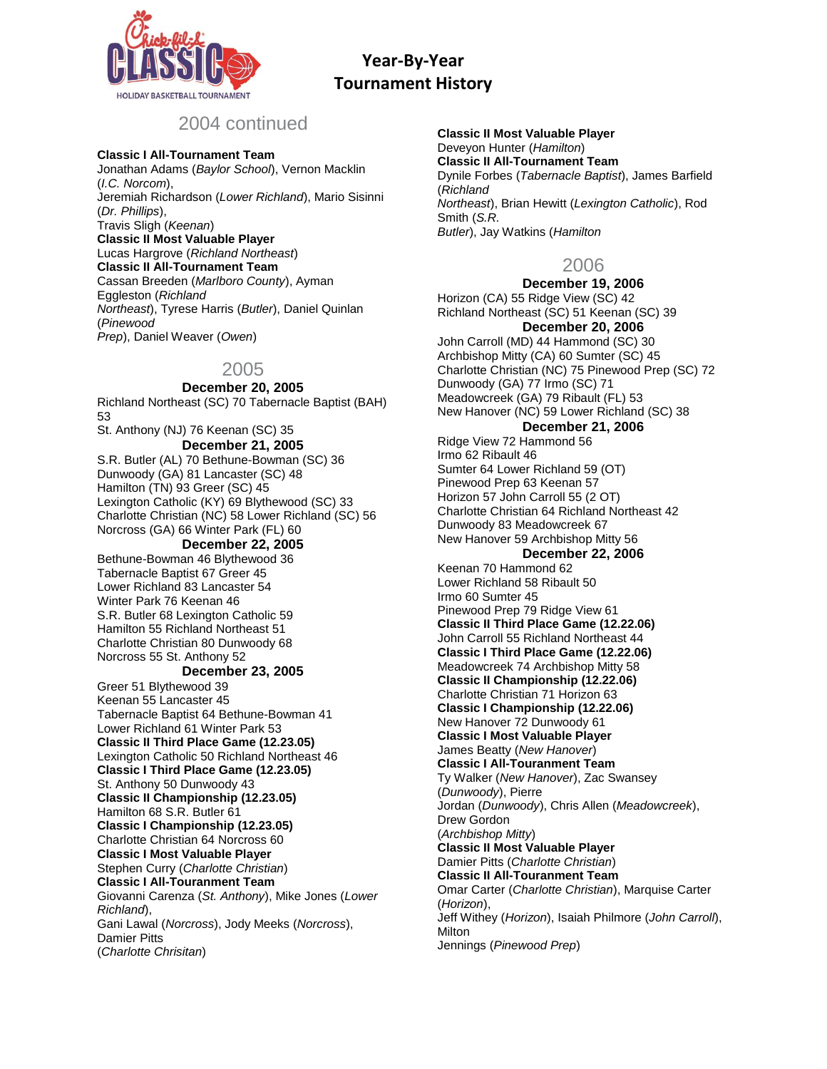

# 2004 continued

#### **Classic I All-Tournament Team**

Jonathan Adams (*Baylor School*), Vernon Macklin (*I.C. Norcom*), Jeremiah Richardson (*Lower Richland*), Mario Sisinni (*Dr. Phillips*), Travis Sligh (*Keenan*) **Classic II Most Valuable Player** Lucas Hargrove (*Richland Northeast*) **Classic II All-Tournament Team** Cassan Breeden (*Marlboro County*), Ayman Eggleston (*Richland Northeast*), Tyrese Harris (*Butler*), Daniel Quinlan (*Pinewood Prep*), Daniel Weaver (*Owen*)

# 2005

**December 20, 2005**

Richland Northeast (SC) 70 Tabernacle Baptist (BAH) 53 St. Anthony (NJ) 76 Keenan (SC) 35 **December 21, 2005** S.R. Butler (AL) 70 Bethune-Bowman (SC) 36 Dunwoody (GA) 81 Lancaster (SC) 48 Hamilton (TN) 93 Greer (SC) 45 Lexington Catholic (KY) 69 Blythewood (SC) 33 Charlotte Christian (NC) 58 Lower Richland (SC) 56 Norcross (GA) 66 Winter Park (FL) 60 **December 22, 2005** Bethune-Bowman 46 Blythewood 36 Tabernacle Baptist 67 Greer 45 Lower Richland 83 Lancaster 54 Winter Park 76 Keenan 46 S.R. Butler 68 Lexington Catholic 59 Hamilton 55 Richland Northeast 51 Charlotte Christian 80 Dunwoody 68 Norcross 55 St. Anthony 52 **December 23, 2005** Greer 51 Blythewood 39 Keenan 55 Lancaster 45

Tabernacle Baptist 64 Bethune-Bowman 41 Lower Richland 61 Winter Park 53 **Classic II Third Place Game (12.23.05)** Lexington Catholic 50 Richland Northeast 46 **Classic I Third Place Game (12.23.05)** St. Anthony 50 Dunwoody 43 **Classic II Championship (12.23.05)** Hamilton 68 S.R. Butler 61 **Classic I Championship (12.23.05)** Charlotte Christian 64 Norcross 60 **Classic I Most Valuable Player** Stephen Curry (*Charlotte Christian*) **Classic I All-Touranment Team** Giovanni Carenza (*St. Anthony*), Mike Jones (*Lower Richland*), Gani Lawal (*Norcross*), Jody Meeks (*Norcross*), Damier Pitts (*Charlotte Chrisitan*)

**Classic II Most Valuable Player** Deveyon Hunter (*Hamilton*) **Classic II All-Tournament Team** Dynile Forbes (*Tabernacle Baptist*), James Barfield (*Richland Northeast*), Brian Hewitt (*Lexington Catholic*), Rod Smith (*S.R. Butler*), Jay Watkins (*Hamilton*

# 2006

**December 19, 2006** Horizon (CA) 55 Ridge View (SC) 42 Richland Northeast (SC) 51 Keenan (SC) 39 **December 20, 2006** John Carroll (MD) 44 Hammond (SC) 30 Archbishop Mitty (CA) 60 Sumter (SC) 45 Charlotte Christian (NC) 75 Pinewood Prep (SC) 72 Dunwoody (GA) 77 Irmo (SC) 71 Meadowcreek (GA) 79 Ribault (FL) 53 New Hanover (NC) 59 Lower Richland (SC) 38 **December 21, 2006** Ridge View 72 Hammond 56 Irmo 62 Ribault 46 Sumter 64 Lower Richland 59 (OT) Pinewood Prep 63 Keenan 57 Horizon 57 John Carroll 55 (2 OT) Charlotte Christian 64 Richland Northeast 42 Dunwoody 83 Meadowcreek 67 New Hanover 59 Archbishop Mitty 56 **December 22, 2006** Keenan 70 Hammond 62 Lower Richland 58 Ribault 50 Irmo 60 Sumter 45 Pinewood Prep 79 Ridge View 61 **Classic II Third Place Game (12.22.06)** John Carroll 55 Richland Northeast 44 **Classic I Third Place Game (12.22.06)** Meadowcreek 74 Archbishop Mitty 58 **Classic II Championship (12.22.06)** Charlotte Christian 71 Horizon 63 **Classic I Championship (12.22.06)** New Hanover 72 Dunwoody 61 **Classic I Most Valuable Player** James Beatty (*New Hanover*) **Classic I All-Touranment Team** Ty Walker (*New Hanover*), Zac Swansey (*Dunwoody*), Pierre Jordan (*Dunwoody*), Chris Allen (*Meadowcreek*), Drew Gordon (*Archbishop Mitty*) **Classic II Most Valuable Player** Damier Pitts (*Charlotte Christian*) **Classic II All-Touranment Team** Omar Carter (*Charlotte Christian*), Marquise Carter (*Horizon*), Jeff Withey (*Horizon*), Isaiah Philmore (*John Carroll*), **Milton** Jennings (*Pinewood Prep*)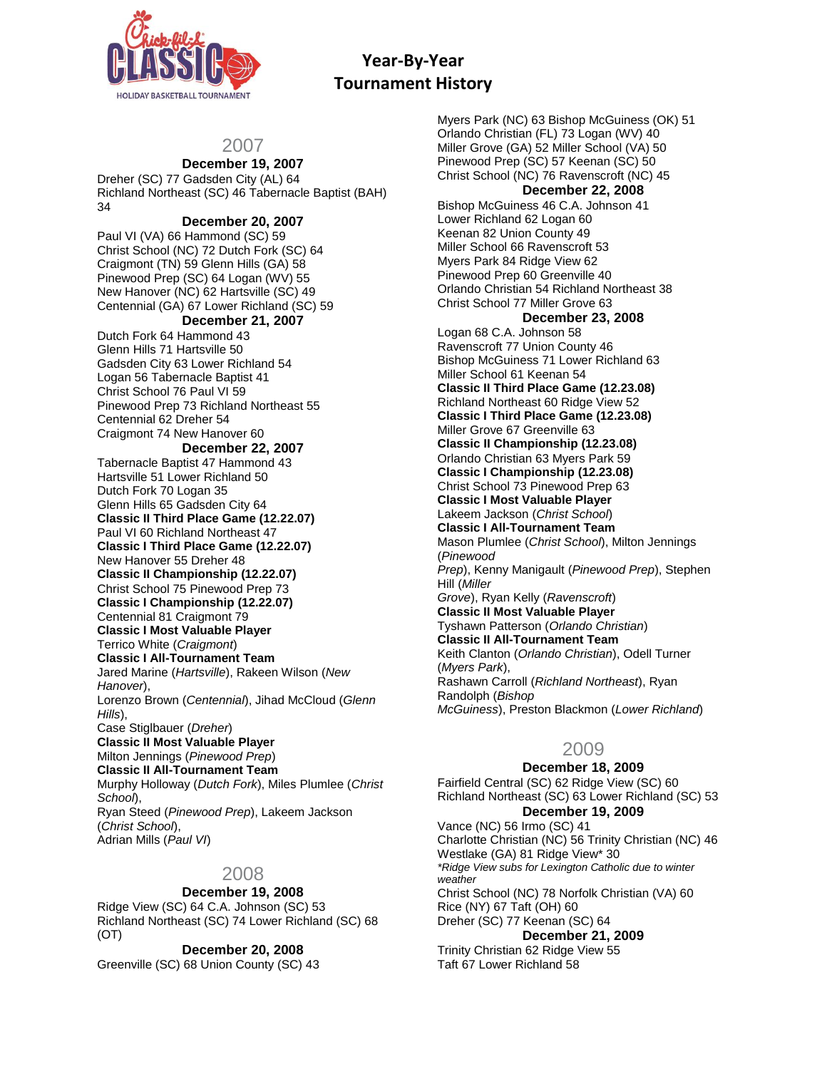

# 2007

# **December 19, 2007**

Dreher (SC) 77 Gadsden City (AL) 64 Richland Northeast (SC) 46 Tabernacle Baptist (BAH) 34

## **December 20, 2007**

Paul VI (VA) 66 Hammond (SC) 59 Christ School (NC) 72 Dutch Fork (SC) 64 Craigmont (TN) 59 Glenn Hills (GA) 58 Pinewood Prep (SC) 64 Logan (WV) 55 New Hanover (NC) 62 Hartsville (SC) 49 Centennial (GA) 67 Lower Richland (SC) 59

## **December 21, 2007**

Dutch Fork 64 Hammond 43 Glenn Hills 71 Hartsville 50 Gadsden City 63 Lower Richland 54 Logan 56 Tabernacle Baptist 41 Christ School 76 Paul VI 59 Pinewood Prep 73 Richland Northeast 55 Centennial 62 Dreher 54 Craigmont 74 New Hanover 60

#### **December 22, 2007**

Tabernacle Baptist 47 Hammond 43 Hartsville 51 Lower Richland 50 Dutch Fork 70 Logan 35 Glenn Hills 65 Gadsden City 64 **Classic II Third Place Game (12.22.07)** Paul VI 60 Richland Northeast 47 **Classic I Third Place Game (12.22.07)** New Hanover 55 Dreher 48 **Classic II Championship (12.22.07)** Christ School 75 Pinewood Prep 73 **Classic I Championship (12.22.07)** Centennial 81 Craigmont 79 **Classic I Most Valuable Player** Terrico White (*Craigmont*) **Classic I All-Tournament Team** Jared Marine (*Hartsville*), Rakeen Wilson (*New Hanover*), Lorenzo Brown (*Centennial*), Jihad McCloud (*Glenn Hills*), Case Stiglbauer (*Dreher*) **Classic II Most Valuable Player** Milton Jennings (*Pinewood Prep*) **Classic II All-Tournament Team** Murphy Holloway (*Dutch Fork*), Miles Plumlee (*Christ School*), Ryan Steed (*Pinewood Prep*), Lakeem Jackson (*Christ School*), Adrian Mills (*Paul VI*)

# 2008

#### **December 19, 2008**

Ridge View (SC) 64 C.A. Johnson (SC) 53 Richland Northeast (SC) 74 Lower Richland (SC) 68 (OT)

#### **December 20, 2008**

Greenville (SC) 68 Union County (SC) 43

Myers Park (NC) 63 Bishop McGuiness (OK) 51 Orlando Christian (FL) 73 Logan (WV) 40 Miller Grove (GA) 52 Miller School (VA) 50 Pinewood Prep (SC) 57 Keenan (SC) 50 Christ School (NC) 76 Ravenscroft (NC) 45 **December 22, 2008** Bishop McGuiness 46 C.A. Johnson 41 Lower Richland 62 Logan 60 Keenan 82 Union County 49 Miller School 66 Ravenscroft 53 Myers Park 84 Ridge View 62 Pinewood Prep 60 Greenville 40 Orlando Christian 54 Richland Northeast 38 Christ School 77 Miller Grove 63 **December 23, 2008** Logan 68 C.A. Johnson 58 Ravenscroft 77 Union County 46 Bishop McGuiness 71 Lower Richland 63 Miller School 61 Keenan 54 **Classic II Third Place Game (12.23.08)** Richland Northeast 60 Ridge View 52 **Classic I Third Place Game (12.23.08)** Miller Grove 67 Greenville 63 **Classic II Championship (12.23.08)** Orlando Christian 63 Myers Park 59 **Classic I Championship (12.23.08)** Christ School 73 Pinewood Prep 63 **Classic I Most Valuable Player** Lakeem Jackson (*Christ School*) **Classic I All-Tournament Team** Mason Plumlee (*Christ School*), Milton Jennings (*Pinewood Prep*), Kenny Manigault (*Pinewood Prep*), Stephen Hill (*Miller Grove*), Ryan Kelly (*Ravenscroft*) **Classic II Most Valuable Player** Tyshawn Patterson (*Orlando Christian*) **Classic II All-Tournament Team** Keith Clanton (*Orlando Christian*), Odell Turner (*Myers Park*), Rashawn Carroll (*Richland Northeast*), Ryan Randolph (*Bishop McGuiness*), Preston Blackmon (*Lower Richland*)

# 2009

## **December 18, 2009**

Fairfield Central (SC) 62 Ridge View (SC) 60 Richland Northeast (SC) 63 Lower Richland (SC) 53 **December 19, 2009**

Vance (NC) 56 Irmo (SC) 41 Charlotte Christian (NC) 56 Trinity Christian (NC) 46 Westlake (GA) 81 Ridge View\* 30 *\*Ridge View subs for Lexington Catholic due to winter weather* Christ School (NC) 78 Norfolk Christian (VA) 60 Rice (NY) 67 Taft (OH) 60 Dreher (SC) 77 Keenan (SC) 64 **December 21, 2009**

Trinity Christian 62 Ridge View 55 Taft 67 Lower Richland 58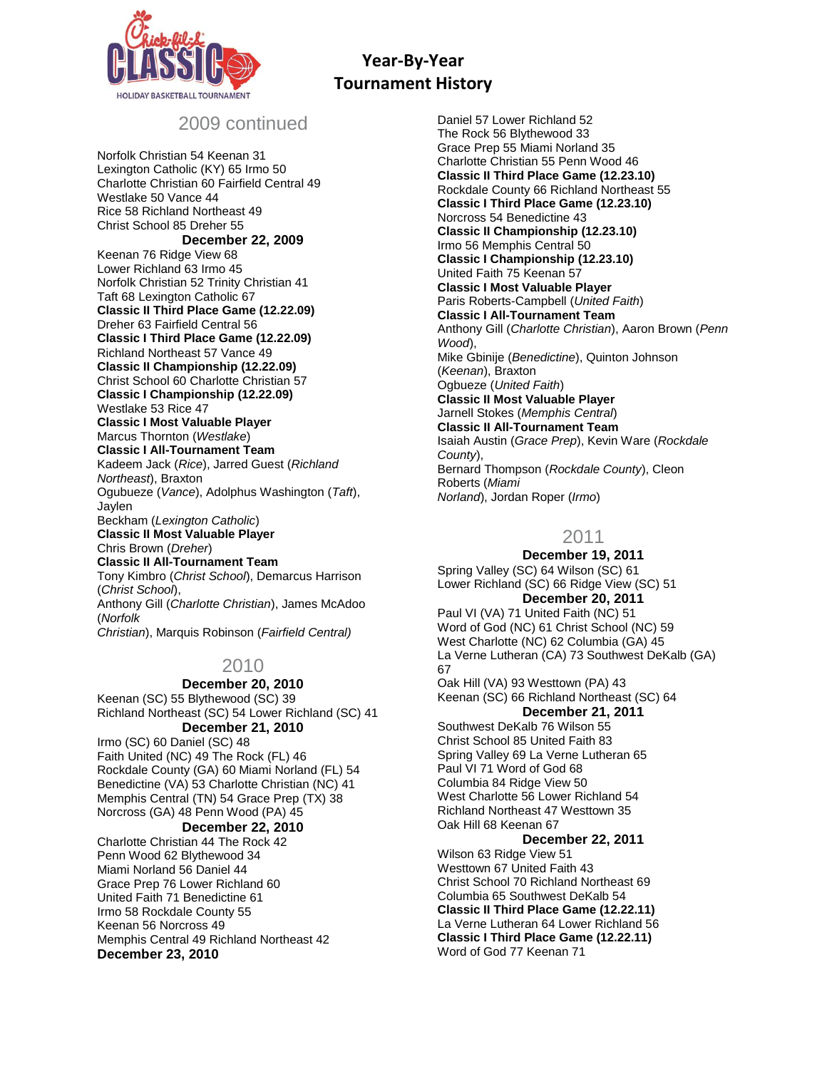

# 2009 continued

Norfolk Christian 54 Keenan 31 Lexington Catholic (KY) 65 Irmo 50 Charlotte Christian 60 Fairfield Central 49 Westlake 50 Vance 44 Rice 58 Richland Northeast 49 Christ School 85 Dreher 55 **December 22, 2009** Keenan 76 Ridge View 68 Lower Richland 63 Irmo 45 Norfolk Christian 52 Trinity Christian 41 Taft 68 Lexington Catholic 67 **Classic II Third Place Game (12.22.09)** Dreher 63 Fairfield Central 56 **Classic I Third Place Game (12.22.09)** Richland Northeast 57 Vance 49 **Classic II Championship (12.22.09)** Christ School 60 Charlotte Christian 57 **Classic I Championship (12.22.09)** Westlake 53 Rice 47 **Classic I Most Valuable Player** Marcus Thornton (*Westlake*) **Classic I All-Tournament Team** Kadeem Jack (*Rice*), Jarred Guest (*Richland Northeast*), Braxton Ogubueze (*Vance*), Adolphus Washington (*Taft*), Jaylen Beckham (*Lexington Catholic*) **Classic II Most Valuable Player** Chris Brown (*Dreher*) **Classic II All-Tournament Team** Tony Kimbro (*Christ School*), Demarcus Harrison (*Christ School*), Anthony Gill (*Charlotte Christian*), James McAdoo (*Norfolk Christian*), Marquis Robinson (*Fairfield Central)*

# 2010

# **December 20, 2010**

Keenan (SC) 55 Blythewood (SC) 39 Richland Northeast (SC) 54 Lower Richland (SC) 41 **December 21, 2010**

Irmo (SC) 60 Daniel (SC) 48 Faith United (NC) 49 The Rock (FL) 46 Rockdale County (GA) 60 Miami Norland (FL) 54 Benedictine (VA) 53 Charlotte Christian (NC) 41 Memphis Central (TN) 54 Grace Prep (TX) 38 Norcross (GA) 48 Penn Wood (PA) 45

#### **December 22, 2010**

Charlotte Christian 44 The Rock 42 Penn Wood 62 Blythewood 34 Miami Norland 56 Daniel 44 Grace Prep 76 Lower Richland 60 United Faith 71 Benedictine 61 Irmo 58 Rockdale County 55 Keenan 56 Norcross 49 Memphis Central 49 Richland Northeast 42 **December 23, 2010**

Daniel 57 Lower Richland 52 The Rock 56 Blythewood 33 Grace Prep 55 Miami Norland 35 Charlotte Christian 55 Penn Wood 46 **Classic II Third Place Game (12.23.10)** Rockdale County 66 Richland Northeast 55 **Classic I Third Place Game (12.23.10)** Norcross 54 Benedictine 43 **Classic II Championship (12.23.10)** Irmo 56 Memphis Central 50 **Classic I Championship (12.23.10)** United Faith 75 Keenan 57 **Classic I Most Valuable Player** Paris Roberts-Campbell (*United Faith*) **Classic I All-Tournament Team** Anthony Gill (*Charlotte Christian*), Aaron Brown (*Penn Wood*), Mike Gbinije (*Benedictine*), Quinton Johnson (*Keenan*), Braxton Ogbueze (*United Faith*) **Classic II Most Valuable Player** Jarnell Stokes (*Memphis Central*) **Classic II All-Tournament Team** Isaiah Austin (*Grace Prep*), Kevin Ware (*Rockdale County*), Bernard Thompson (*Rockdale County*), Cleon Roberts (*Miami Norland*), Jordan Roper (*Irmo*)

# 2011

**December 19, 2011** Spring Valley (SC) 64 Wilson (SC) 61 Lower Richland (SC) 66 Ridge View (SC) 51 **December 20, 2011** Paul VI (VA) 71 United Faith (NC) 51

Word of God (NC) 61 Christ School (NC) 59 West Charlotte (NC) 62 Columbia (GA) 45 La Verne Lutheran (CA) 73 Southwest DeKalb (GA) 67 Oak Hill (VA) 93 Westtown (PA) 43 Keenan (SC) 66 Richland Northeast (SC) 64 **December 21, 2011**

Southwest DeKalb 76 Wilson 55 Christ School 85 United Faith 83 Spring Valley 69 La Verne Lutheran 65 Paul VI 71 Word of God 68 Columbia 84 Ridge View 50 West Charlotte 56 Lower Richland 54 Richland Northeast 47 Westtown 35 Oak Hill 68 Keenan 67

#### **December 22, 2011**

Wilson 63 Ridge View 51 Westtown 67 United Faith 43 Christ School 70 Richland Northeast 69 Columbia 65 Southwest DeKalb 54 **Classic II Third Place Game (12.22.11)** La Verne Lutheran 64 Lower Richland 56 **Classic I Third Place Game (12.22.11)** Word of God 77 Keenan 71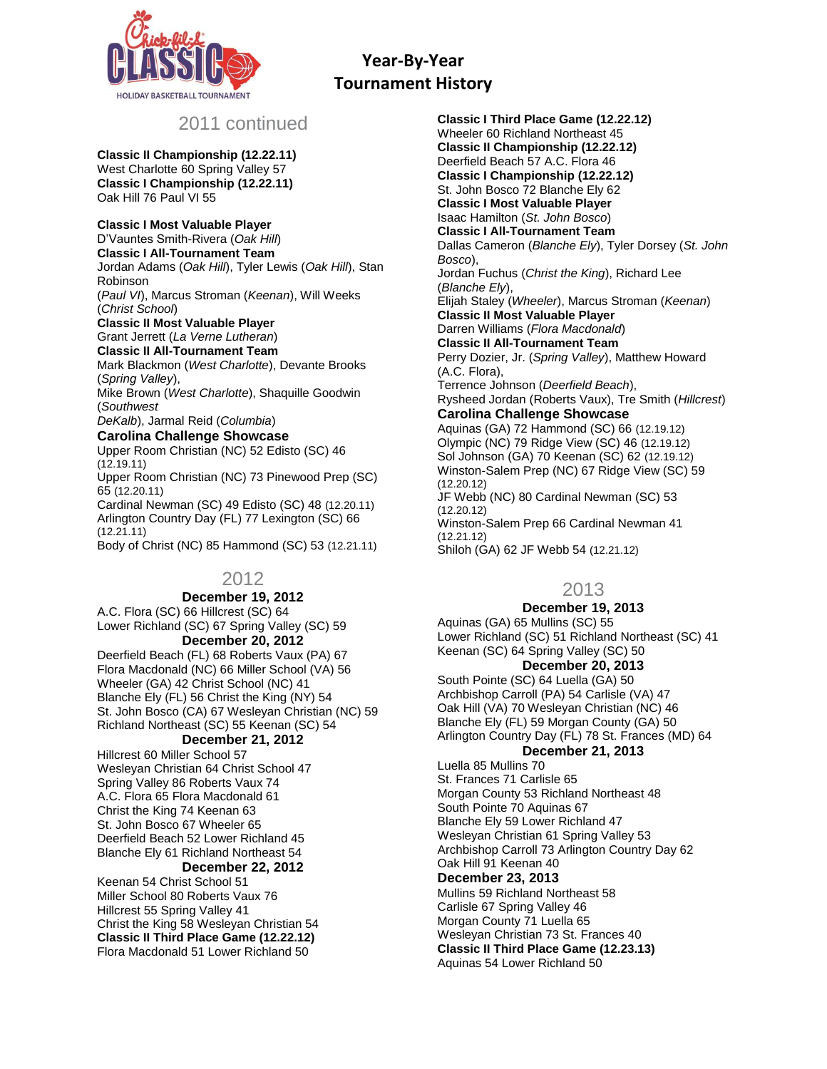

# 2011 continued

**Classic II Championship (12.22.11)** West Charlotte 60 Spring Valley 57 **Classic I Championship (12.22.11)** Oak Hill 76 Paul VI 55

#### **Classic I Most Valuable Player**

D'Vauntes Smith-Rivera (*Oak Hill*) **Classic I All-Tournament Team** Jordan Adams (*Oak Hill*), Tyler Lewis (*Oak Hill*), Stan Robinson (*Paul VI*), Marcus Stroman (*Keenan*), Will Weeks (*Christ School*) **Classic II Most Valuable Player** Grant Jerrett (*La Verne Lutheran*) **Classic II All-Tournament Team** Mark Blackmon (*West Charlotte*), Devante Brooks (*Spring Valley*), Mike Brown (*West Charlotte*), Shaquille Goodwin (*Southwest DeKalb*), Jarmal Reid (*Columbia*) **Carolina Challenge Showcase** Upper Room Christian (NC) 52 Edisto (SC) 46 (12.19.11) Upper Room Christian (NC) 73 Pinewood Prep (SC) 65 (12.20.11) Cardinal Newman (SC) 49 Edisto (SC) 48 (12.20.11) Arlington Country Day (FL) 77 Lexington (SC) 66 (12.21.11) Body of Christ (NC) 85 Hammond (SC) 53 (12.21.11)

# 2012

#### **December 19, 2012** A.C. Flora (SC) 66 Hillcrest (SC) 64 Lower Richland (SC) 67 Spring Valley (SC) 59

**December 20, 2012**

Deerfield Beach (FL) 68 Roberts Vaux (PA) 67 Flora Macdonald (NC) 66 Miller School (VA) 56 Wheeler (GA) 42 Christ School (NC) 41 Blanche Ely (FL) 56 Christ the King (NY) 54 St. John Bosco (CA) 67 Wesleyan Christian (NC) 59 Richland Northeast (SC) 55 Keenan (SC) 54

## **December 21, 2012**

Hillcrest 60 Miller School 57 Wesleyan Christian 64 Christ School 47 Spring Valley 86 Roberts Vaux 74 A.C. Flora 65 Flora Macdonald 61 Christ the King 74 Keenan 63 St. John Bosco 67 Wheeler 65 Deerfield Beach 52 Lower Richland 45 Blanche Ely 61 Richland Northeast 54 **December 22, 2012**

Keenan 54 Christ School 51 Miller School 80 Roberts Vaux 76 Hillcrest 55 Spring Valley 41 Christ the King 58 Wesleyan Christian 54 **Classic II Third Place Game (12.22.12)** Flora Macdonald 51 Lower Richland 50

**Classic I Third Place Game (12.22.12)** Wheeler 60 Richland Northeast 45 **Classic II Championship (12.22.12)** Deerfield Beach 57 A.C. Flora 46 **Classic I Championship (12.22.12)** St. John Bosco 72 Blanche Ely 62 **Classic I Most Valuable Player** Isaac Hamilton (*St. John Bosco*) **Classic I All-Tournament Team** Dallas Cameron (*Blanche Ely*), Tyler Dorsey (*St. John Bosco*), Jordan Fuchus (*Christ the King*), Richard Lee (*Blanche Ely*), Elijah Staley (*Wheeler*), Marcus Stroman (*Keenan*) **Classic II Most Valuable Player** Darren Williams (*Flora Macdonald*) **Classic II All-Tournament Team** Perry Dozier, Jr. (*Spring Valley*), Matthew Howard (A.C. Flora), Terrence Johnson (*Deerfield Beach*), Rysheed Jordan (Roberts Vaux), Tre Smith (*Hillcrest*) **Carolina Challenge Showcase** Aquinas (GA) 72 Hammond (SC) 66 (12.19.12) Olympic (NC) 79 Ridge View (SC) 46 (12.19.12) Sol Johnson (GA) 70 Keenan (SC) 62 (12.19.12) Winston-Salem Prep (NC) 67 Ridge View (SC) 59 (12.20.12) JF Webb (NC) 80 Cardinal Newman (SC) 53 (12.20.12) Winston-Salem Prep 66 Cardinal Newman 41 (12.21.12)

Shiloh (GA) 62 JF Webb 54 (12.21.12)

# 2013

## **December 19, 2013**

Aquinas (GA) 65 Mullins (SC) 55 Lower Richland (SC) 51 Richland Northeast (SC) 41 Keenan (SC) 64 Spring Valley (SC) 50 **December 20, 2013**

South Pointe (SC) 64 Luella (GA) 50 Archbishop Carroll (PA) 54 Carlisle (VA) 47 Oak Hill (VA) 70 Wesleyan Christian (NC) 46 Blanche Ely (FL) 59 Morgan County (GA) 50 Arlington Country Day (FL) 78 St. Frances (MD) 64

## **December 21, 2013**

Luella 85 Mullins 70 St. Frances 71 Carlisle 65 Morgan County 53 Richland Northeast 48 South Pointe 70 Aquinas 67 Blanche Ely 59 Lower Richland 47 Wesleyan Christian 61 Spring Valley 53 Archbishop Carroll 73 Arlington Country Day 62 Oak Hill 91 Keenan 40 **December 23, 2013** Mullins 59 Richland Northeast 58 Carlisle 67 Spring Valley 46 Morgan County 71 Luella 65 Wesleyan Christian 73 St. Frances 40

**Classic II Third Place Game (12.23.13)** Aquinas 54 Lower Richland 50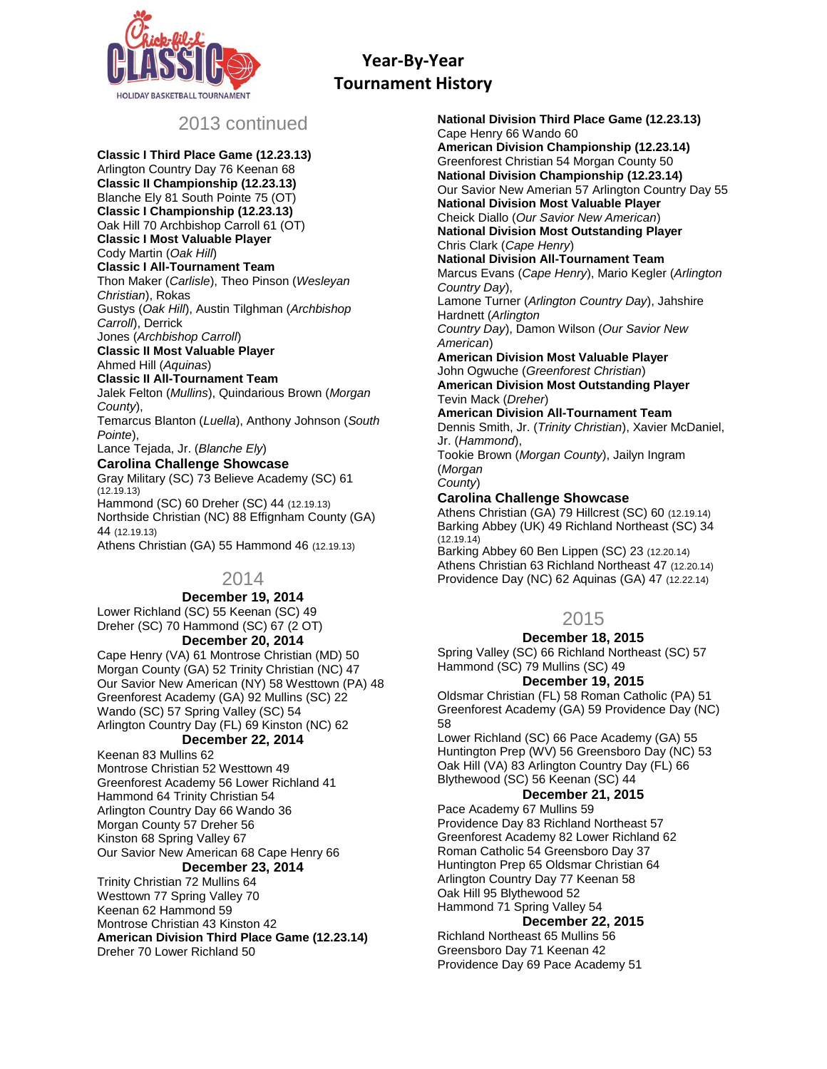

# 2013 continued

**Classic I Third Place Game (12.23.13)** Arlington Country Day 76 Keenan 68 **Classic II Championship (12.23.13)** Blanche Ely 81 South Pointe 75 (OT) **Classic I Championship (12.23.13)** Oak Hill 70 Archbishop Carroll 61 (OT) **Classic I Most Valuable Player** Cody Martin (*Oak Hill*) **Classic I All-Tournament Team** Thon Maker (*Carlisle*), Theo Pinson (*Wesleyan Christian*), Rokas Gustys (*Oak Hill*), Austin Tilghman (*Archbishop Carroll*), Derrick Jones (*Archbishop Carroll*) **Classic II Most Valuable Player** Ahmed Hill (*Aquinas*) **Classic II All-Tournament Team** Jalek Felton (*Mullins*), Quindarious Brown (*Morgan County*), Temarcus Blanton (*Luella*), Anthony Johnson (*South Pointe*), Lance Tejada, Jr. (*Blanche Ely*) **Carolina Challenge Showcase** Gray Military (SC) 73 Believe Academy (SC) 61 (12.19.13) Hammond (SC) 60 Dreher (SC) 44 (12.19.13) Northside Christian (NC) 88 Effignham County (GA) 44 (12.19.13)

Athens Christian (GA) 55 Hammond 46 (12.19.13)

# 2014

# **December 19, 2014**

Lower Richland (SC) 55 Keenan (SC) 49 Dreher (SC) 70 Hammond (SC) 67 (2 OT)

#### **December 20, 2014**

Cape Henry (VA) 61 Montrose Christian (MD) 50 Morgan County (GA) 52 Trinity Christian (NC) 47 Our Savior New American (NY) 58 Westtown (PA) 48 Greenforest Academy (GA) 92 Mullins (SC) 22 Wando (SC) 57 Spring Valley (SC) 54 Arlington Country Day (FL) 69 Kinston (NC) 62

# **December 22, 2014**

Keenan 83 Mullins 62 Montrose Christian 52 Westtown 49 Greenforest Academy 56 Lower Richland 41 Hammond 64 Trinity Christian 54 Arlington Country Day 66 Wando 36 Morgan County 57 Dreher 56 Kinston 68 Spring Valley 67 Our Savior New American 68 Cape Henry 66 **December 23, 2014**

Trinity Christian 72 Mullins 64 Westtown 77 Spring Valley 70 Keenan 62 Hammond 59 Montrose Christian 43 Kinston 42 **American Division Third Place Game (12.23.14)** Dreher 70 Lower Richland 50

**National Division Third Place Game (12.23.13)** Cape Henry 66 Wando 60 **American Division Championship (12.23.14)** Greenforest Christian 54 Morgan County 50 **National Division Championship (12.23.14)** Our Savior New Amerian 57 Arlington Country Day 55 **National Division Most Valuable Player** Cheick Diallo (*Our Savior New American*) **National Division Most Outstanding Player** Chris Clark (*Cape Henry*) **National Division All-Tournament Team** Marcus Evans (*Cape Henry*), Mario Kegler (*Arlington Country Day*), Lamone Turner (*Arlington Country Day*), Jahshire Hardnett (*Arlington Country Day*), Damon Wilson (*Our Savior New American*) **American Division Most Valuable Player** John Ogwuche (*Greenforest Christian*) **American Division Most Outstanding Player** Tevin Mack (*Dreher*) **American Division All-Tournament Team** Dennis Smith, Jr. (*Trinity Christian*), Xavier McDaniel, Jr. (*Hammond*), Tookie Brown (*Morgan County*), Jailyn Ingram

(*Morgan County*)

## **Carolina Challenge Showcase**

Athens Christian (GA) 79 Hillcrest (SC) 60 (12.19.14) Barking Abbey (UK) 49 Richland Northeast (SC) 34 (12.19.14)

Barking Abbey 60 Ben Lippen (SC) 23 (12.20.14) Athens Christian 63 Richland Northeast 47 (12.20.14) Providence Day (NC) 62 Aquinas (GA) 47 (12.22.14)

# 2015

## **December 18, 2015**

Spring Valley (SC) 66 Richland Northeast (SC) 57 Hammond (SC) 79 Mullins (SC) 49

## **December 19, 2015**

Oldsmar Christian (FL) 58 Roman Catholic (PA) 51 Greenforest Academy (GA) 59 Providence Day (NC) 58

Lower Richland (SC) 66 Pace Academy (GA) 55 Huntington Prep (WV) 56 Greensboro Day (NC) 53 Oak Hill (VA) 83 Arlington Country Day (FL) 66 Blythewood (SC) 56 Keenan (SC) 44

# **December 21, 2015**

Pace Academy 67 Mullins 59 Providence Day 83 Richland Northeast 57 Greenforest Academy 82 Lower Richland 62 Roman Catholic 54 Greensboro Day 37 Huntington Prep 65 Oldsmar Christian 64 Arlington Country Day 77 Keenan 58 Oak Hill 95 Blythewood 52 Hammond 71 Spring Valley 54

#### **December 22, 2015**

Richland Northeast 65 Mullins 56 Greensboro Day 71 Keenan 42 Providence Day 69 Pace Academy 51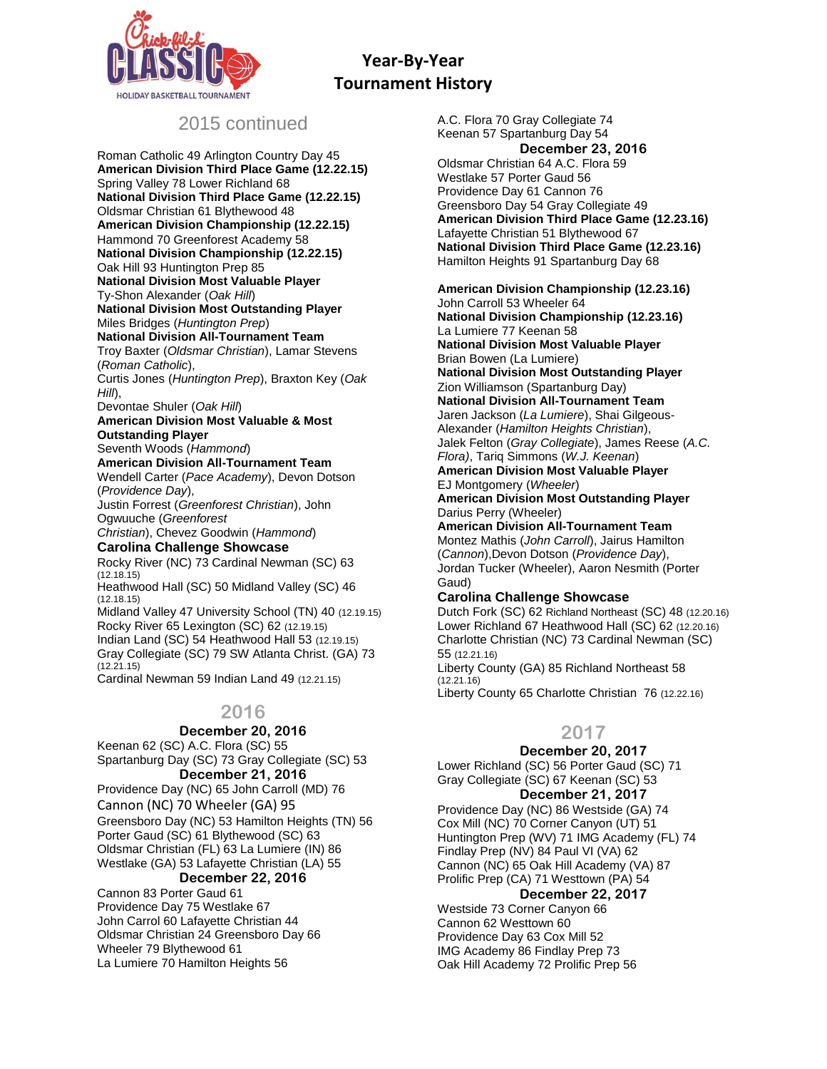

# 2015 continued

Roman Catholic 49 Arlington Country Day 45 **American Division Third Place Game (12.22.15)** Spring Valley 78 Lower Richland 68 **National Division Third Place Game (12.22.15)** Oldsmar Christian 61 Blythewood 48 **American Division Championship (12.22.15)** Hammond 70 Greenforest Academy 58 **National Division Championship (12.22.15)** Oak Hill 93 Huntington Prep 85 **National Division Most Valuable Player** Ty-Shon Alexander (*Oak Hill*) **National Division Most Outstanding Player** Miles Bridges (*Huntington Prep*) **National Division All-Tournament Team** Troy Baxter (*Oldsmar Christian*), Lamar Stevens (*Roman Catholic*), Curtis Jones (*Huntington Prep*), Braxton Key (*Oak Hill*), Devontae Shuler (*Oak Hill*) **American Division Most Valuable & Most Outstanding Player** Seventh Woods (*Hammond*) **American Division All-Tournament Team** Wendell Carter (*Pace Academy*), Devon Dotson (*Providence Day*), Justin Forrest (*Greenforest Christian*), John Ogwuuche (*Greenforest Christian*), Chevez Goodwin (*Hammond*) **Carolina Challenge Showcase** Rocky River (NC) 73 Cardinal Newman (SC) 63 (12.18.15) Heathwood Hall (SC) 50 Midland Valley (SC) 46 (12.18.15) Midland Valley 47 University School (TN) 40 (12.19.15) Rocky River 65 Lexington (SC) 62 (12.19.15) Indian Land (SC) 54 Heathwood Hall 53 (12.19.15) Gray Collegiate (SC) 79 SW Atlanta Christ. (GA) 73 (12.21.15) Cardinal Newman 59 Indian Land 49 (12.21.15)

# **2016**

**December 20, 2016** Keenan 62 (SC) A.C. Flora (SC) 55

Spartanburg Day (SC) 73 Gray Collegiate (SC) 53 **December 21, 2016**

Providence Day (NC) 65 John Carroll (MD) 76 Cannon (NC) 70 Wheeler (GA) 95 Greensboro Day (NC) 53 Hamilton Heights (TN) 56 Porter Gaud (SC) 61 Blythewood (SC) 63 Oldsmar Christian (FL) 63 La Lumiere (IN) 86 Westlake (GA) 53 Lafayette Christian (LA) 55

## **December 22, 2016**

Cannon 83 Porter Gaud 61 Providence Day 75 Westlake 67 John Carrol 60 Lafayette Christian 44 Oldsmar Christian 24 Greensboro Day 66 Wheeler 79 Blythewood 61 La Lumiere 70 Hamilton Heights 56

A.C. Flora 70 Gray Collegiate 74 Keenan 57 Spartanburg Day 54 **December 23, 2016** Oldsmar Christian 64 A.C. Flora 59 Westlake 57 Porter Gaud 56 Providence Day 61 Cannon 76 Greensboro Day 54 Gray Collegiate 49 **American Division Third Place Game (12.23.16)** Lafayette Christian 51 Blythewood 67 **National Division Third Place Game (12.23.16)** Hamilton Heights 91 Spartanburg Day 68 **American Division Championship (12.23.16)** John Carroll 53 Wheeler 64

**National Division Championship (12.23.16)** La Lumiere 77 Keenan 58 **National Division Most Valuable Player** Brian Bowen (La Lumiere) **National Division Most Outstanding Player** Zion Williamson (Spartanburg Day) **National Division All-Tournament Team** Jaren Jackson (*La Lumiere*), Shai Gilgeous-Alexander (*Hamilton Heights Christian*), Jalek Felton (*Gray Collegiate*), James Reese (*A.C. Flora)*, Tariq Simmons (*W.J. Keenan*) **American Division Most Valuable Player** EJ Montgomery (*Wheeler*) **American Division Most Outstanding Player** Darius Perry (Wheeler) **American Division All-Tournament Team** Montez Mathis (*John Carroll*), Jairus Hamilton (*Cannon*),Devon Dotson (*Providence Day*), Jordan Tucker (Wheeler), Aaron Nesmith (Porter Gaud)

## **Carolina Challenge Showcase**

Dutch Fork (SC) 62 Richland Northeast (SC) 48 (12.20.16) Lower Richland 67 Heathwood Hall (SC) 62 (12.20.16) Charlotte Christian (NC) 73 Cardinal Newman (SC) 55 (12.21.16) Liberty County (GA) 85 Richland Northeast 58 (12.21.16)

Liberty County 65 Charlotte Christian 76 (12.22.16)

# **2017**

#### **December 20, 2017**

Lower Richland (SC) 56 Porter Gaud (SC) 71 Gray Collegiate (SC) 67 Keenan (SC) 53

# **December 21, 2017**

Providence Day (NC) 86 Westside (GA) 74 Cox Mill (NC) 70 Corner Canyon (UT) 51 Huntington Prep (WV) 71 IMG Academy (FL) 74 Findlay Prep (NV) 84 Paul VI (VA) 62 Cannon (NC) 65 Oak Hill Academy (VA) 87 Prolific Prep (CA) 71 Westtown (PA) 54

#### **December 22, 2017**

Westside 73 Corner Canyon 66 Cannon 62 Westtown 60 Providence Day 63 Cox Mill 52 IMG Academy 86 Findlay Prep 73 Oak Hill Academy 72 Prolific Prep 56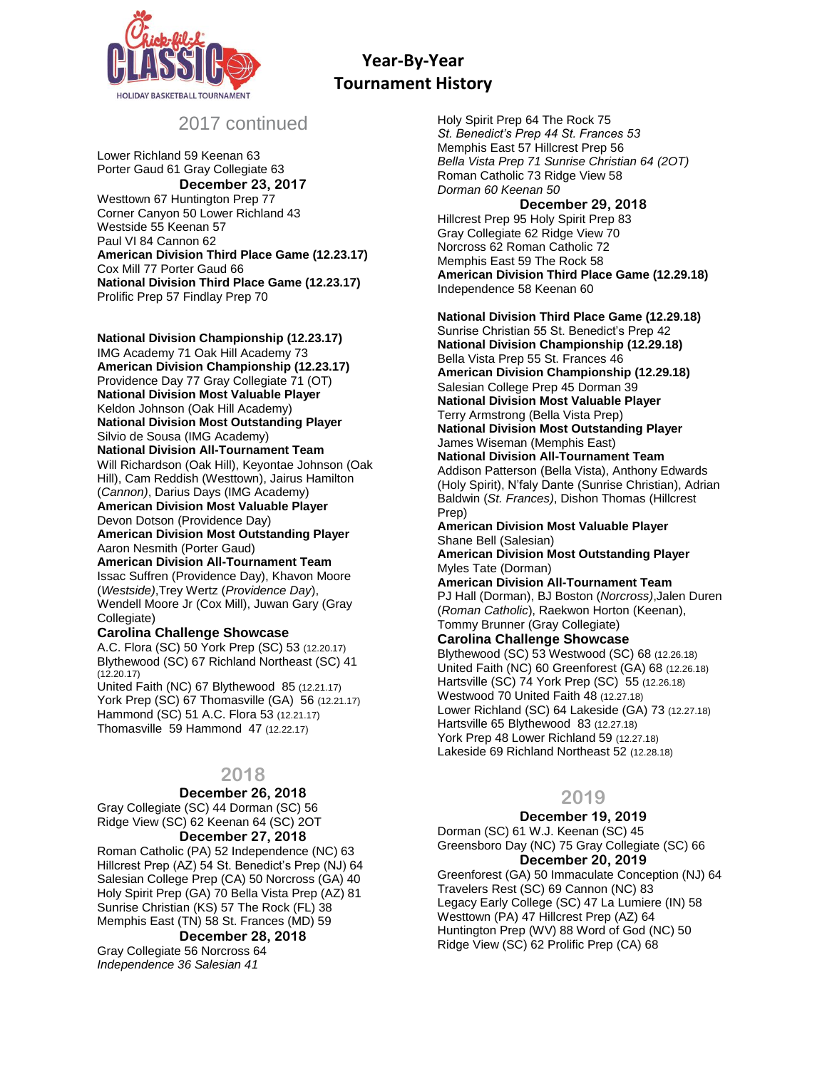

# 2017 continued

Lower Richland 59 Keenan 63 Porter Gaud 61 Gray Collegiate 63 **December 23, 2017** Westtown 67 Huntington Prep 77 Corner Canyon 50 Lower Richland 43 Westside 55 Keenan 57 Paul VI 84 Cannon 62 **American Division Third Place Game (12.23.17)** Cox Mill 77 Porter Gaud 66 **National Division Third Place Game (12.23.17)** Prolific Prep 57 Findlay Prep 70

**National Division Championship (12.23.17)** IMG Academy 71 Oak Hill Academy 73 **American Division Championship (12.23.17)** Providence Day 77 Gray Collegiate 71 (OT) **National Division Most Valuable Player** Keldon Johnson (Oak Hill Academy) **National Division Most Outstanding Player** Silvio de Sousa (IMG Academy) **National Division All-Tournament Team** Will Richardson (Oak Hill), Keyontae Johnson (Oak Hill), Cam Reddish (Westtown), Jairus Hamilton (*Cannon)*, Darius Days (IMG Academy) **American Division Most Valuable Player** Devon Dotson (Providence Day) **American Division Most Outstanding Player** Aaron Nesmith (Porter Gaud)

**American Division All-Tournament Team** Issac Suffren (Providence Day), Khavon Moore (*Westside)*,Trey Wertz (*Providence Day*), Wendell Moore Jr (Cox Mill), Juwan Gary (Gray Collegiate)

#### **Carolina Challenge Showcase**

A.C. Flora (SC) 50 York Prep (SC) 53 (12.20.17) Blythewood (SC) 67 Richland Northeast (SC) 41  $(12.20.17)$ 

United Faith (NC) 67 Blythewood 85 (12.21.17) York Prep (SC) 67 Thomasville (GA) 56 (12.21.17) Hammond (SC) 51 A.C. Flora 53 (12.21.17) Thomasville 59 Hammond 47 (12.22.17)

# **2018**

#### **December 26, 2018**

Gray Collegiate (SC) 44 Dorman (SC) 56 Ridge View (SC) 62 Keenan 64 (SC) 2OT

#### **December 27, 2018**

Roman Catholic (PA) 52 Independence (NC) 63 Hillcrest Prep (AZ) 54 St. Benedict's Prep (NJ) 64 Salesian College Prep (CA) 50 Norcross (GA) 40 Holy Spirit Prep (GA) 70 Bella Vista Prep (AZ) 81 Sunrise Christian (KS) 57 The Rock (FL) 38 Memphis East (TN) 58 St. Frances (MD) 59

# **December 28, 2018**

Gray Collegiate 56 Norcross 64 *Independence 36 Salesian 41*

Holy Spirit Prep 64 The Rock 75 *St. Benedict's Prep 44 St. Frances 53* Memphis East 57 Hillcrest Prep 56 *Bella Vista Prep 71 Sunrise Christian 64 (2OT)* Roman Catholic 73 Ridge View 58 *Dorman 60 Keenan 50*

#### **December 29, 2018**

Hillcrest Prep 95 Holy Spirit Prep 83 Gray Collegiate 62 Ridge View 70 Norcross 62 Roman Catholic 72 Memphis East 59 The Rock 58 **American Division Third Place Game (12.29.18)** Independence 58 Keenan 60

**National Division Third Place Game (12.29.18)** Sunrise Christian 55 St. Benedict's Prep 42 **National Division Championship (12.29.18)** Bella Vista Prep 55 St. Frances 46 **American Division Championship (12.29.18)** Salesian College Prep 45 Dorman 39 **National Division Most Valuable Player** Terry Armstrong (Bella Vista Prep) **National Division Most Outstanding Player** James Wiseman (Memphis East) **National Division All-Tournament Team** Addison Patterson (Bella Vista), Anthony Edwards (Holy Spirit), N'faly Dante (Sunrise Christian), Adrian Baldwin (*St. Frances)*, Dishon Thomas (Hillcrest Prep) **American Division Most Valuable Player** Shane Bell (Salesian)

**American Division Most Outstanding Player** Myles Tate (Dorman)

**American Division All-Tournament Team** PJ Hall (Dorman), BJ Boston (*Norcross)*,Jalen Duren (*Roman Catholic*), Raekwon Horton (Keenan), Tommy Brunner (Gray Collegiate)

**Carolina Challenge Showcase**

Blythewood (SC) 53 Westwood (SC) 68 (12.26.18) United Faith (NC) 60 Greenforest (GA) 68 (12.26.18) Hartsville (SC) 74 York Prep (SC) 55 (12.26.18) Westwood 70 United Faith 48 (12.27.18) Lower Richland (SC) 64 Lakeside (GA) 73 (12.27.18) Hartsville 65 Blythewood 83 (12.27.18) York Prep 48 Lower Richland 59 (12.27.18) Lakeside 69 Richland Northeast 52 (12.28.18)

# **2019**

#### **December 19, 2019**

Dorman (SC) 61 W.J. Keenan (SC) 45 Greensboro Day (NC) 75 Gray Collegiate (SC) 66 **December 20, 2019** Greenforest (GA) 50 Immaculate Conception (NJ) 64 Travelers Rest (SC) 69 Cannon (NC) 83 Legacy Early College (SC) 47 La Lumiere (IN) 58 Westtown (PA) 47 Hillcrest Prep (AZ) 64 Huntington Prep (WV) 88 Word of God (NC) 50 Ridge View (SC) 62 Prolific Prep (CA) 68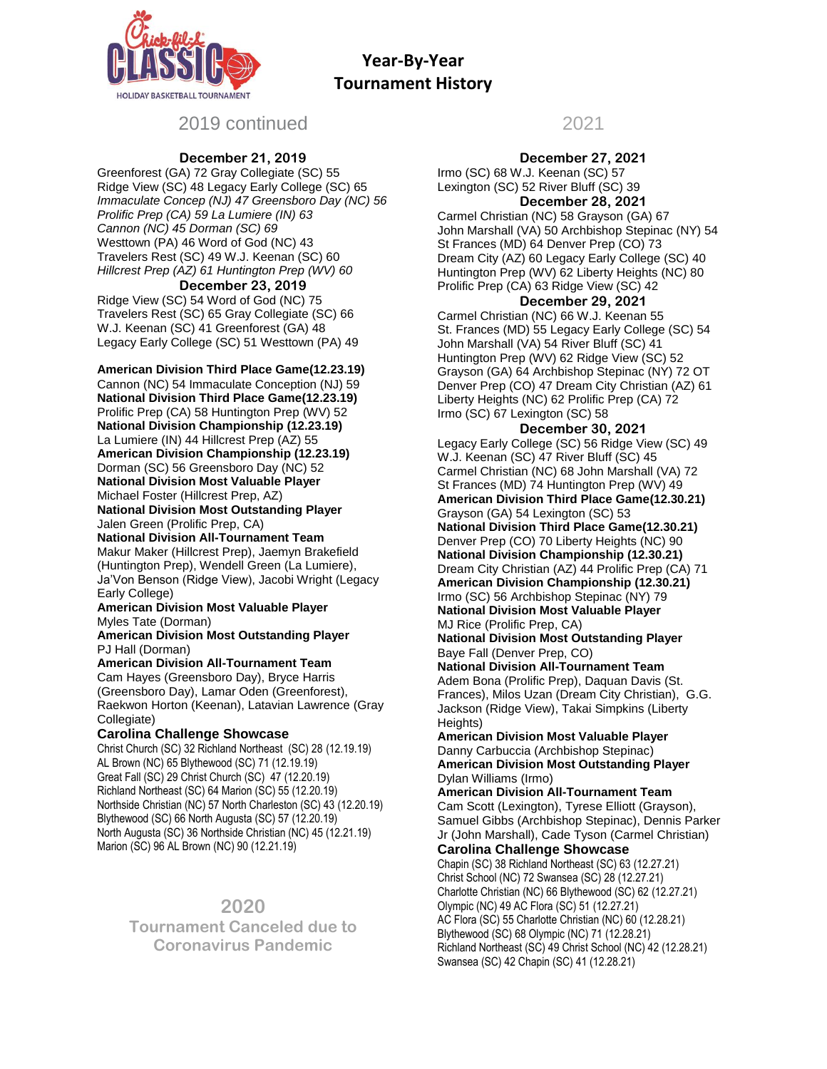

# 2019 continued

## **December 21, 2019**

Greenforest (GA) 72 Gray Collegiate (SC) 55 Ridge View (SC) 48 Legacy Early College (SC) 65 *Immaculate Concep (NJ) 47 Greensboro Day (NC) 56 Prolific Prep (CA) 59 La Lumiere (IN) 63 Cannon (NC) 45 Dorman (SC) 69* Westtown (PA) 46 Word of God (NC) 43 Travelers Rest (SC) 49 W.J. Keenan (SC) 60 *Hillcrest Prep (AZ) 61 Huntington Prep (WV) 60*

## **December 23, 2019**

Ridge View (SC) 54 Word of God (NC) 75 Travelers Rest (SC) 65 Gray Collegiate (SC) 66 W.J. Keenan (SC) 41 Greenforest (GA) 48 Legacy Early College (SC) 51 Westtown (PA) 49

**American Division Third Place Game(12.23.19)**

Cannon (NC) 54 Immaculate Conception (NJ) 59 **National Division Third Place Game(12.23.19)** Prolific Prep (CA) 58 Huntington Prep (WV) 52 **National Division Championship (12.23.19)** La Lumiere (IN) 44 Hillcrest Prep (AZ) 55 **American Division Championship (12.23.19)** Dorman (SC) 56 Greensboro Day (NC) 52 **National Division Most Valuable Player** Michael Foster (Hillcrest Prep, AZ) **National Division Most Outstanding Player** Jalen Green (Prolific Prep, CA)

#### **National Division All-Tournament Team**

Makur Maker (Hillcrest Prep), Jaemyn Brakefield (Huntington Prep), Wendell Green (La Lumiere), Ja'Von Benson (Ridge View), Jacobi Wright (Legacy Early College)

**American Division Most Valuable Player** Myles Tate (Dorman)

**American Division Most Outstanding Player** PJ Hall (Dorman)

**American Division All-Tournament Team** Cam Hayes (Greensboro Day), Bryce Harris (Greensboro Day), Lamar Oden (Greenforest), Raekwon Horton (Keenan), Latavian Lawrence (Gray

#### Collegiate) **Carolina Challenge Showcase**

Christ Church (SC) 32 Richland Northeast (SC) 28 (12.19.19) AL Brown (NC) 65 Blythewood (SC) 71 (12.19.19) Great Fall (SC) 29 Christ Church (SC) 47 (12.20.19) Richland Northeast (SC) 64 Marion (SC) 55 (12.20.19) Northside Christian (NC) 57 North Charleston (SC) 43 (12.20.19) Blythewood (SC) 66 North Augusta (SC) 57 (12.20.19) North Augusta (SC) 36 Northside Christian (NC) 45 (12.21.19) Marion (SC) 96 AL Brown (NC) 90 (12.21.19)

# **2020**

**Tournament Canceled due to Coronavirus Pandemic**

# 2021

## **December 27, 2021**

Irmo (SC) 68 W.J. Keenan (SC) 57 Lexington (SC) 52 River Bluff (SC) 39 **December 28, 2021**

Carmel Christian (NC) 58 Grayson (GA) 67 John Marshall (VA) 50 Archbishop Stepinac (NY) 54 St Frances (MD) 64 Denver Prep (CO) 73 Dream City (AZ) 60 Legacy Early College (SC) 40 Huntington Prep (WV) 62 Liberty Heights (NC) 80 Prolific Prep (CA) 63 Ridge View (SC) 42

## **December 29, 2021**

Carmel Christian (NC) 66 W.J. Keenan 55 St. Frances (MD) 55 Legacy Early College (SC) 54 John Marshall (VA) 54 River Bluff (SC) 41 Huntington Prep (WV) 62 Ridge View (SC) 52 Grayson (GA) 64 Archbishop Stepinac (NY) 72 OT Denver Prep (CO) 47 Dream City Christian (AZ) 61 Liberty Heights (NC) 62 Prolific Prep (CA) 72 Irmo (SC) 67 Lexington (SC) 58

## **December 30, 2021**

Legacy Early College (SC) 56 Ridge View (SC) 49 W.J. Keenan (SC) 47 River Bluff (SC) 45 Carmel Christian (NC) 68 John Marshall (VA) 72 St Frances (MD) 74 Huntington Prep (WV) 49 **American Division Third Place Game(12.30.21)** Grayson (GA) 54 Lexington (SC) 53 **National Division Third Place Game(12.30.21)** Denver Prep (CO) 70 Liberty Heights (NC) 90 **National Division Championship (12.30.21)** Dream City Christian (AZ) 44 Prolific Prep (CA) 71 **American Division Championship (12.30.21)** Irmo (SC) 56 Archbishop Stepinac (NY) 79 **National Division Most Valuable Player** MJ Rice (Prolific Prep, CA)

**National Division Most Outstanding Player** Baye Fall (Denver Prep, CO)

**National Division All-Tournament Team** Adem Bona (Prolific Prep), Daquan Davis (St. Frances), Milos Uzan (Dream City Christian), G.G. Jackson (Ridge View), Takai Simpkins (Liberty Heights)

**American Division Most Valuable Player** Danny Carbuccia (Archbishop Stepinac) **American Division Most Outstanding Player** Dylan Williams (Irmo)

**American Division All-Tournament Team** Cam Scott (Lexington), Tyrese Elliott (Grayson), Samuel Gibbs (Archbishop Stepinac), Dennis Parker Jr (John Marshall), Cade Tyson (Carmel Christian) **Carolina Challenge Showcase**

Chapin (SC) 38 Richland Northeast (SC) 63 (12.27.21) Christ School (NC) 72 Swansea (SC) 28 (12.27.21) Charlotte Christian (NC) 66 Blythewood (SC) 62 (12.27.21) Olympic (NC) 49 AC Flora (SC) 51 (12.27.21) AC Flora (SC) 55 Charlotte Christian (NC) 60 (12.28.21) Blythewood (SC) 68 Olympic (NC) 71 (12.28.21) Richland Northeast (SC) 49 Christ School (NC) 42 (12.28.21) Swansea (SC) 42 Chapin (SC) 41 (12.28.21)